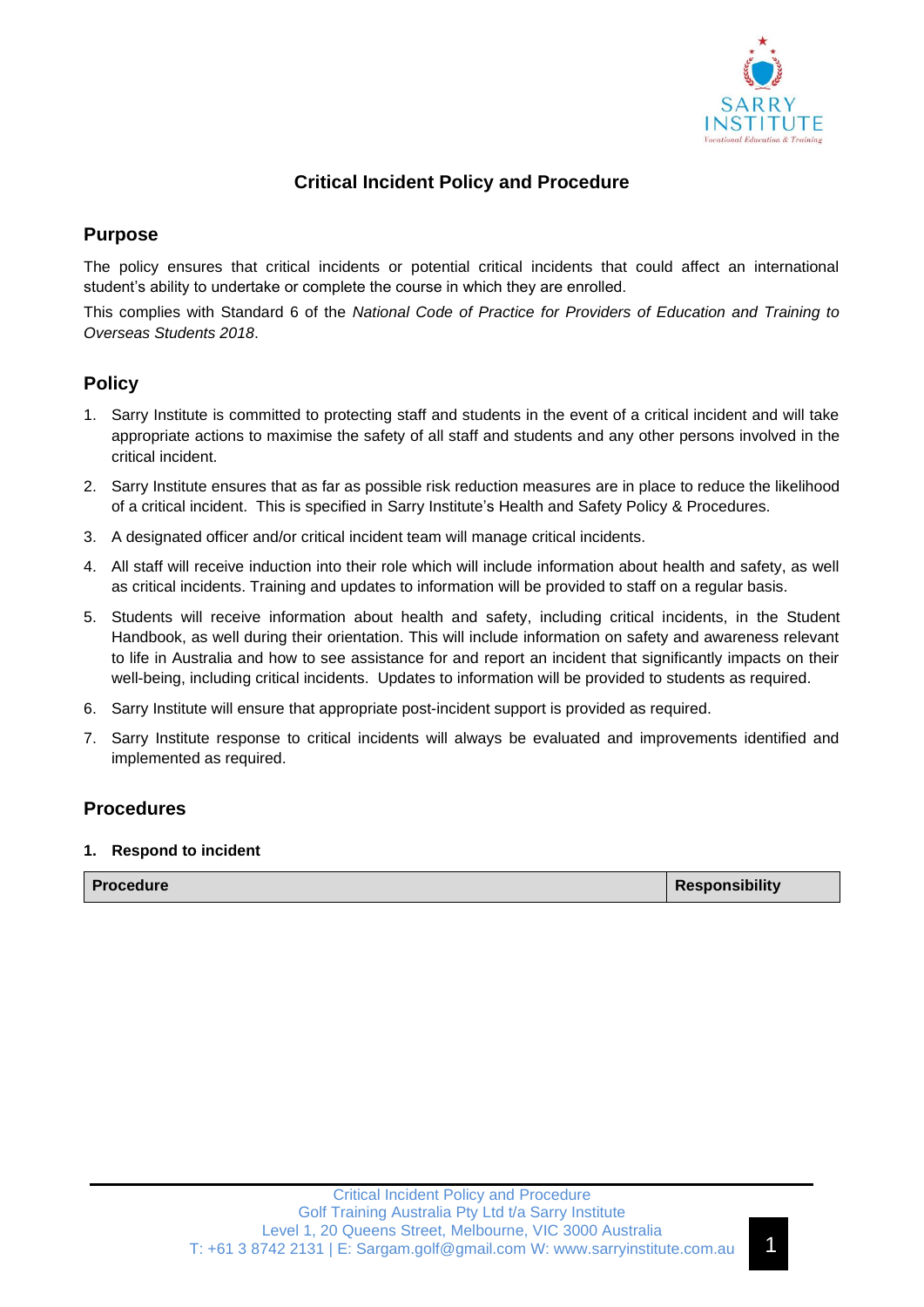

# **Critical Incident Policy and Procedure**

# **Purpose**

The policy ensures that critical incidents or potential critical incidents that could affect an international student's ability to undertake or complete the course in which they are enrolled.

This complies with Standard 6 of the *National Code of Practice for Providers of Education and Training to Overseas Students 2018*.

### **Policy**

- 1. Sarry Institute is committed to protecting staff and students in the event of a critical incident and will take appropriate actions to maximise the safety of all staff and students and any other persons involved in the critical incident.
- 2. Sarry Institute ensures that as far as possible risk reduction measures are in place to reduce the likelihood of a critical incident. This is specified in Sarry Institute's Health and Safety Policy & Procedures.
- 3. A designated officer and/or critical incident team will manage critical incidents.
- 4. All staff will receive induction into their role which will include information about health and safety, as well as critical incidents. Training and updates to information will be provided to staff on a regular basis.
- 5. Students will receive information about health and safety, including critical incidents, in the Student Handbook, as well during their orientation. This will include information on safety and awareness relevant to life in Australia and how to see assistance for and report an incident that significantly impacts on their well-being, including critical incidents. Updates to information will be provided to students as required.
- 6. Sarry Institute will ensure that appropriate post-incident support is provided as required.
- 7. Sarry Institute response to critical incidents will always be evaluated and improvements identified and implemented as required.

## **Procedures**

#### **1. Respond to incident**

| Procedure | Responsibility |
|-----------|----------------|
|           |                |

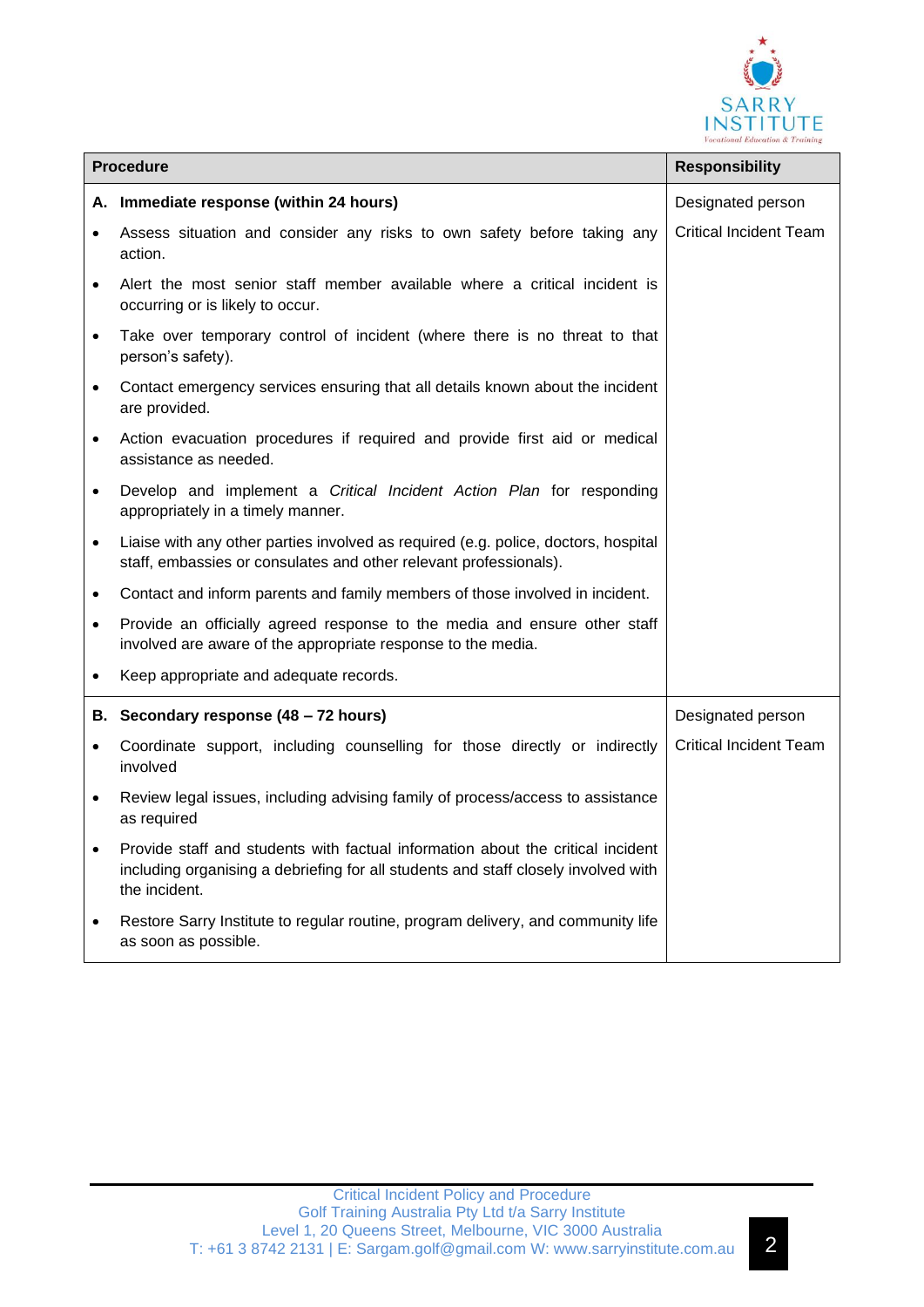

| <b>Procedure</b> |                                                                                                                                                                                        | <b>Responsibility</b>         |
|------------------|----------------------------------------------------------------------------------------------------------------------------------------------------------------------------------------|-------------------------------|
|                  | A. Immediate response (within 24 hours)                                                                                                                                                | Designated person             |
| $\bullet$        | Assess situation and consider any risks to own safety before taking any<br>action.                                                                                                     | <b>Critical Incident Team</b> |
| $\bullet$        | Alert the most senior staff member available where a critical incident is<br>occurring or is likely to occur.                                                                          |                               |
| $\bullet$        | Take over temporary control of incident (where there is no threat to that<br>person's safety).                                                                                         |                               |
| $\bullet$        | Contact emergency services ensuring that all details known about the incident<br>are provided.                                                                                         |                               |
| $\bullet$        | Action evacuation procedures if required and provide first aid or medical<br>assistance as needed.                                                                                     |                               |
| $\bullet$        | Develop and implement a Critical Incident Action Plan for responding<br>appropriately in a timely manner.                                                                              |                               |
| $\bullet$        | Liaise with any other parties involved as required (e.g. police, doctors, hospital<br>staff, embassies or consulates and other relevant professionals).                                |                               |
| $\bullet$        | Contact and inform parents and family members of those involved in incident.                                                                                                           |                               |
| $\bullet$        | Provide an officially agreed response to the media and ensure other staff<br>involved are aware of the appropriate response to the media.                                              |                               |
| $\bullet$        | Keep appropriate and adequate records.                                                                                                                                                 |                               |
|                  | B. Secondary response (48 - 72 hours)                                                                                                                                                  | Designated person             |
| $\bullet$        | Coordinate support, including counselling for those directly or indirectly<br>involved                                                                                                 | <b>Critical Incident Team</b> |
| $\bullet$        | Review legal issues, including advising family of process/access to assistance<br>as required                                                                                          |                               |
| $\bullet$        | Provide staff and students with factual information about the critical incident<br>including organising a debriefing for all students and staff closely involved with<br>the incident. |                               |
| $\bullet$        | Restore Sarry Institute to regular routine, program delivery, and community life<br>as soon as possible.                                                                               |                               |